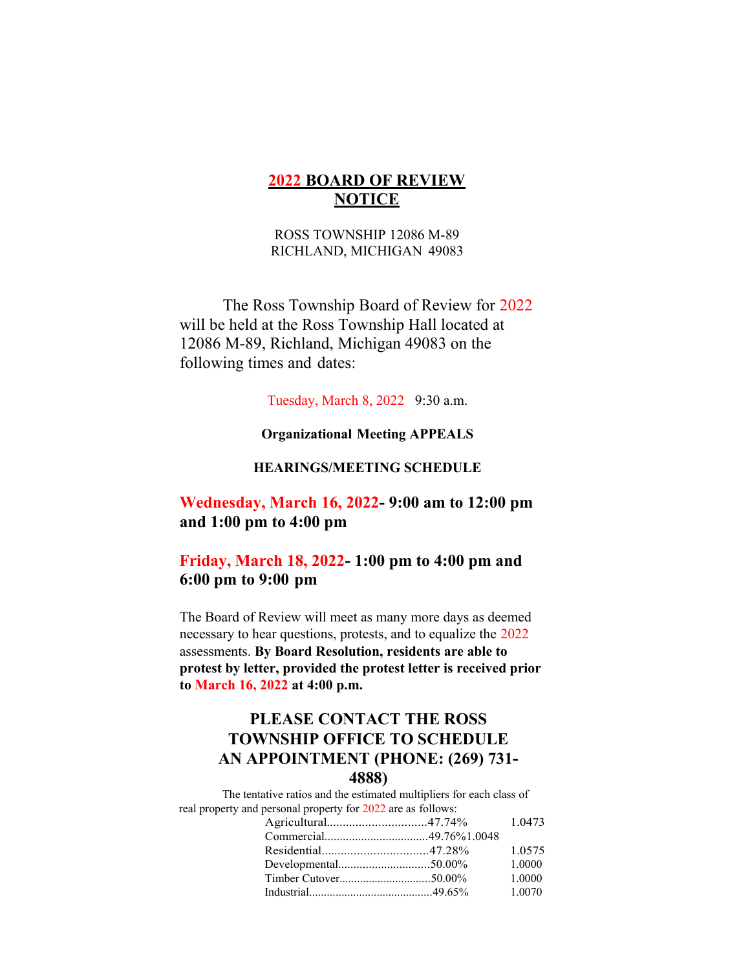## **2022 BOARD OF REVIEW NOTICE**

ROSS TOWNSHIP 12086 M-89 RICHLAND, MICHIGAN 49083

The Ross Township Board of Review for 2022 will be held at the Ross Township Hall located at 12086 M-89, Richland, Michigan 49083 on the following times and dates:

Tuesday, March 8, 2022 9:30 a.m.

**Organizational Meeting APPEALS**

### **HEARINGS/MEETING SCHEDULE**

**Wednesday, March 16, 2022- 9:00 am to 12:00 pm and 1:00 pm to 4:00 pm**

**Friday, March 18, 2022- 1:00 pm to 4:00 pm and 6:00 pm to 9:00 pm**

The Board of Review will meet as many more days as deemed necessary to hear questions, protests, and to equalize the 2022 assessments. **By Board Resolution, residents are able to protest by letter, provided the protest letter is received prior to March 16, 2022 at 4:00 p.m.**

# **PLEASE CONTACT THE ROSS TOWNSHIP OFFICE TO SCHEDULE AN APPOINTMENT (PHONE: (269) 731- 4888)**

The tentative ratios and the estimated multipliers for each class of real property and personal property for 2022 are as follows: Agricultural...............................47.74% 1.0473 Commercial..................................49.76%1.0048 Residential.................................47.28% 1.0575 Developmental..............................50.00% 1.0000 Timber Cutover...............................50.00% 1.0000 Industrial..........................................49.65% 1.0070